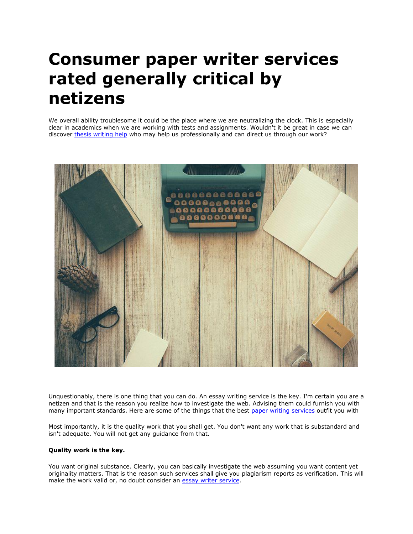## **Consumer paper writer services rated generally critical by netizens**

We overall ability troublesome it could be the place where we are neutralizing the clock. This is especially clear in academics when we are working with tests and assignments. Wouldn't it be great in case we can discover [thesis writing help](https://www.gradschoolgenius.com/thesis-writing-service) who may help us professionally and can direct us through our work?



Unquestionably, there is one thing that you can do. An essay writing service is the key. I'm certain you are a netizen and that is the reason you realize how to investigate the web. Advising them could furnish you with many important standards. Here are some of the things that the best [paper writing services](https://www.myperfectpaper.net/) outfit you with

Most importantly, it is the quality work that you shall get. You don't want any work that is substandard and isn't adequate. You will not get any guidance from that.

## **Quality work is the key.**

You want original substance. Clearly, you can basically investigate the web assuming you want content yet originality matters. That is the reason such services shall give you plagiarism reports as verification. This will make the work valid or, no doubt consider an [essay writer service.](https://www.myperfectpaper.net/)